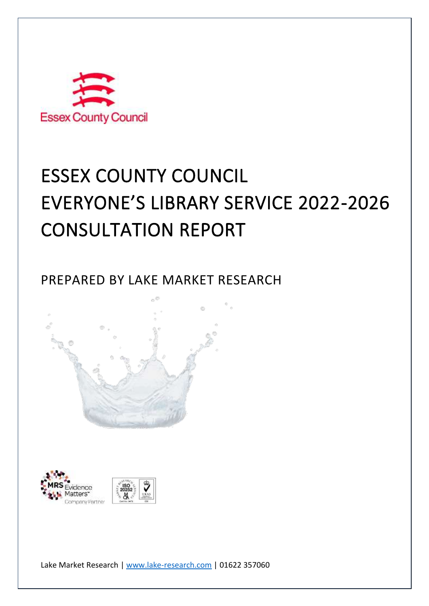

# ESSEX COUNTY COUNCIL EVERYONE'S LIBRARY SERVICE 2022-2026 CONSULTATION REPORT

PREPARED BY LAKE MARKET RESEARCH





Lake Market Research | [www.lake-research.com](http://www.lake-research.com/) | 01622 357060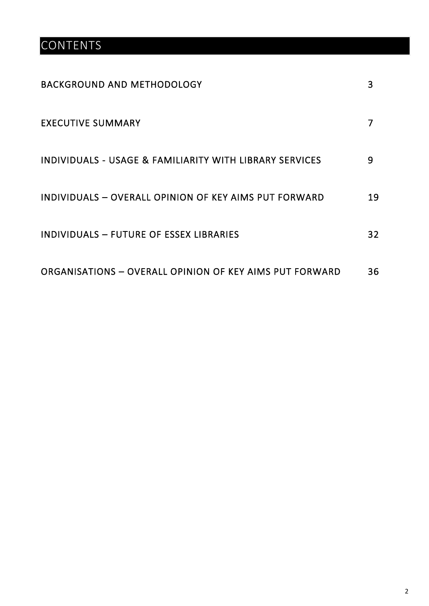## **CONTENTS**

| <b>BACKGROUND AND METHODOLOGY</b>                       | 3  |
|---------------------------------------------------------|----|
| <b>EXECUTIVE SUMMARY</b>                                |    |
| INDIVIDUALS - USAGE & FAMILIARITY WITH LIBRARY SERVICES | 9  |
| INDIVIDUALS - OVERALL OPINION OF KEY AIMS PUT FORWARD   | 19 |
| INDIVIDUALS - FUTURE OF ESSEX LIBRARIES                 | 32 |
| ORGANISATIONS - OVERALL OPINION OF KEY AIMS PUT FORWARD | 36 |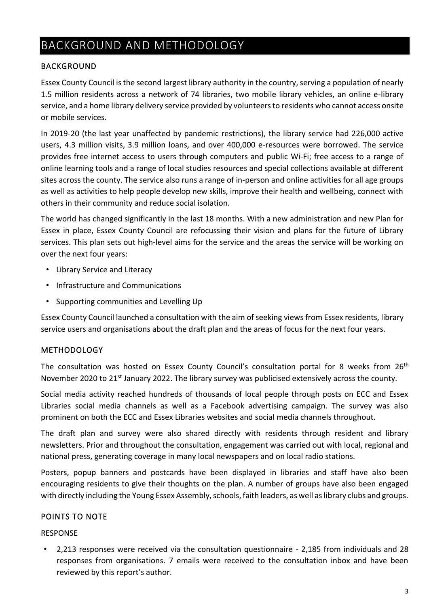## BACKGROUND AND METHODOLOGY

#### BACKGROUND

Essex County Council isthe second largest library authority in the country, serving a population of nearly 1.5 million residents across a network of 74 libraries, two mobile library vehicles, an online e-library service, and a home library delivery service provided by volunteers to residents who cannot access onsite or mobile services.

In 2019-20 (the last year unaffected by pandemic restrictions), the library service had 226,000 active users, 4.3 million visits, 3.9 million loans, and over 400,000 e-resources were borrowed. The service provides free internet access to users through computers and public Wi-Fi; free access to a range of online learning tools and a range of local studies resources and special collections available at different sites across the county. The service also runs a range of in-person and online activities for all age groups as well as activities to help people develop new skills, improve their health and wellbeing, connect with others in their community and reduce social isolation.

The world has changed significantly in the last 18 months. With a new administration and new Plan for Essex in place, Essex County Council are refocussing their vision and plans for the future of Library services. This plan sets out high-level aims for the service and the areas the service will be working on over the next four years:

- Library Service and Literacy
- Infrastructure and Communications
- Supporting communities and Levelling Up

Essex County Council launched a consultation with the aim of seeking views from Essex residents, library service users and organisations about the draft plan and the areas of focus for the next four years.

#### METHODOLOGY

The consultation was hosted on Essex County Council's consultation portal for 8 weeks from 26<sup>th</sup> November 2020 to 21<sup>st</sup> January 2022. The library survey was publicised extensively across the county.

Social media activity reached hundreds of thousands of local people through posts on ECC and Essex Libraries social media channels as well as a Facebook advertising campaign. The survey was also prominent on both the ECC and Essex Libraries websites and social media channels throughout.

The draft plan and survey were also shared directly with residents through resident and library newsletters. Prior and throughout the consultation, engagement was carried out with local, regional and national press, generating coverage in many local newspapers and on local radio stations.

Posters, popup banners and postcards have been displayed in libraries and staff have also been encouraging residents to give their thoughts on the plan. A number of groups have also been engaged with directly including the Young Essex Assembly, schools, faith leaders, as well as library clubs and groups.

#### POINTS TO NOTE

#### RESPONSE

• 2,213 responses were received via the consultation questionnaire - 2,185 from individuals and 28 responses from organisations. 7 emails were received to the consultation inbox and have been reviewed by this report's author.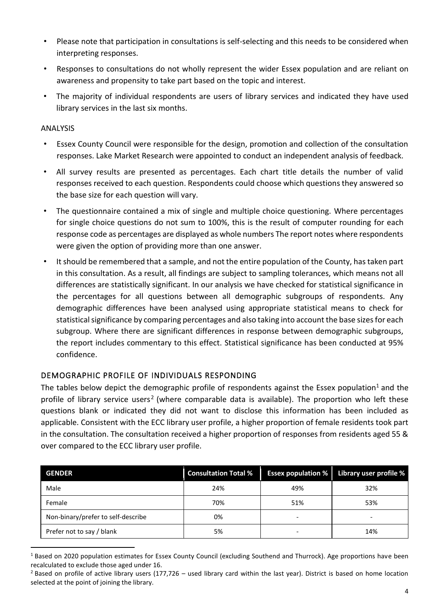- Please note that participation in consultations is self-selecting and this needs to be considered when interpreting responses.
- Responses to consultations do not wholly represent the wider Essex population and are reliant on awareness and propensity to take part based on the topic and interest.
- The majority of individual respondents are users of library services and indicated they have used library services in the last six months.

#### ANALYSIS

- Essex County Council were responsible for the design, promotion and collection of the consultation responses. Lake Market Research were appointed to conduct an independent analysis of feedback.
- All survey results are presented as percentages. Each chart title details the number of valid responses received to each question. Respondents could choose which questions they answered so the base size for each question will vary.
- The questionnaire contained a mix of single and multiple choice questioning. Where percentages for single choice questions do not sum to 100%, this is the result of computer rounding for each response code as percentages are displayed as whole numbers The report notes where respondents were given the option of providing more than one answer.
- It should be remembered that a sample, and not the entire population of the County, has taken part in this consultation. As a result, all findings are subject to sampling tolerances, which means not all differences are statistically significant. In our analysis we have checked for statistical significance in the percentages for all questions between all demographic subgroups of respondents. Any demographic differences have been analysed using appropriate statistical means to check for statistical significance by comparing percentages and also taking into account the base sizes for each subgroup. Where there are significant differences in response between demographic subgroups, the report includes commentary to this effect. Statistical significance has been conducted at 95% confidence.

#### DEMOGRAPHIC PROFILE OF INDIVIDUALS RESPONDING

The tables below depict the demographic profile of respondents against the Essex population<sup>1</sup> and the profile of library service users<sup>2</sup> (where comparable data is available). The proportion who left these questions blank or indicated they did not want to disclose this information has been included as applicable. Consistent with the ECC library user profile, a higher proportion of female residents took part in the consultation. The consultation received a higher proportion of responses from residents aged 55 & over compared to the ECC library user profile.

| <b>GENDER</b>                      | <b>Consultation Total %</b> | <b>Essex population %</b> | Library user profile % |
|------------------------------------|-----------------------------|---------------------------|------------------------|
| Male                               | 24%                         | 49%                       | 32%                    |
| Female                             | 70%                         | 51%                       | 53%                    |
| Non-binary/prefer to self-describe | 0%                          |                           |                        |
| Prefer not to say / blank          | 5%                          |                           | 14%                    |

 $1$  Based on 2020 population estimates for Essex County Council (excluding Southend and Thurrock). Age proportions have been recalculated to exclude those aged under 16.

 $2$  Based on profile of active library users (177,726 – used library card within the last year). District is based on home location selected at the point of joining the library.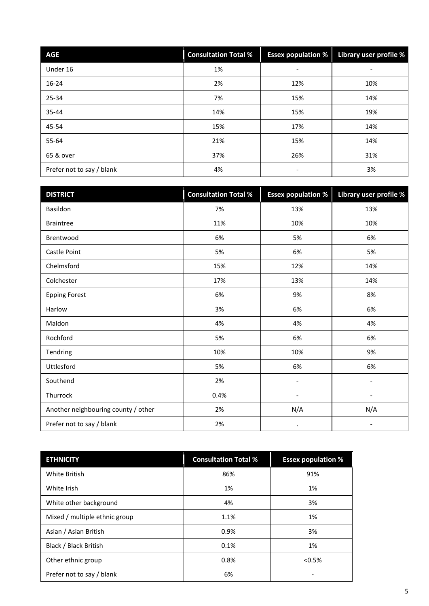| <b>AGE</b>                | <b>Consultation Total %</b> | <b>Essex population %</b> | Library user profile % |
|---------------------------|-----------------------------|---------------------------|------------------------|
| Under 16                  | 1%                          | -                         | -                      |
| $16 - 24$                 | 2%                          | 12%                       | 10%                    |
| 25-34                     | 7%                          | 15%                       | 14%                    |
| 35-44                     | 14%                         | 15%                       | 19%                    |
| 45-54                     | 15%                         | 17%                       | 14%                    |
| 55-64                     | 21%                         | 15%                       | 14%                    |
| 65 & over                 | 37%                         | 26%                       | 31%                    |
| Prefer not to say / blank | 4%                          | -                         | 3%                     |

| <b>DISTRICT</b>                     | <b>Consultation Total %</b> | <b>Essex population %</b> | Library user profile %   |
|-------------------------------------|-----------------------------|---------------------------|--------------------------|
| Basildon                            | 7%                          | 13%                       | 13%                      |
| <b>Braintree</b>                    | 11%                         | 10%                       | 10%                      |
| Brentwood                           | 6%                          | 5%                        | 6%                       |
| Castle Point                        | 5%                          | 6%                        | 5%                       |
| Chelmsford                          | 15%                         | 12%                       | 14%                      |
| Colchester                          | 17%                         | 13%                       | 14%                      |
| <b>Epping Forest</b>                | 6%                          | 9%                        | 8%                       |
| Harlow                              | 3%                          | 6%                        | 6%                       |
| Maldon                              | 4%                          | 4%                        | 4%                       |
| Rochford                            | 5%                          | 6%                        | 6%                       |
| Tendring                            | 10%                         | 10%                       | 9%                       |
| Uttlesford                          | 5%                          | 6%                        | 6%                       |
| Southend                            | 2%                          | $\overline{\phantom{0}}$  | $\overline{\phantom{0}}$ |
| Thurrock                            | 0.4%                        | $\overline{\phantom{0}}$  | $\overline{\phantom{0}}$ |
| Another neighbouring county / other | 2%                          | N/A                       | N/A                      |
| Prefer not to say / blank           | 2%                          | $\bullet$                 | $\overline{a}$           |

| <b>ETHNICITY</b>              | <b>Consultation Total %</b> | <b>Essex population %</b> |
|-------------------------------|-----------------------------|---------------------------|
| White British                 | 86%                         | 91%                       |
| White Irish                   | 1%                          | 1%                        |
| White other background        | 4%                          | 3%                        |
| Mixed / multiple ethnic group | 1.1%                        | 1%                        |
| Asian / Asian British         | 0.9%                        | 3%                        |
| Black / Black British         | 0.1%                        | 1%                        |
| Other ethnic group            | 0.8%                        | < 0.5%                    |
| Prefer not to say / blank     | 6%                          |                           |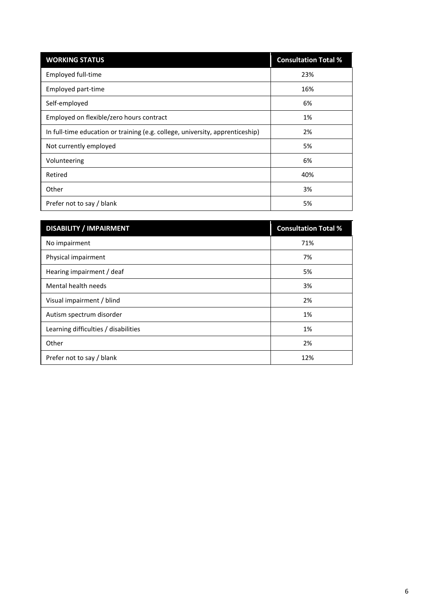| <b>WORKING STATUS</b>                                                         | <b>Consultation Total %</b> |
|-------------------------------------------------------------------------------|-----------------------------|
| Employed full-time                                                            | 23%                         |
| Employed part-time                                                            | 16%                         |
| Self-employed                                                                 | 6%                          |
| Employed on flexible/zero hours contract                                      | 1%                          |
| In full-time education or training (e.g. college, university, apprenticeship) | 2%                          |
| Not currently employed                                                        | 5%                          |
| Volunteering                                                                  | 6%                          |
| Retired                                                                       | 40%                         |
| Other                                                                         | 3%                          |
| Prefer not to say / blank                                                     | 5%                          |

| <b>DISABILITY / IMPAIRMENT</b>       | <b>Consultation Total %</b> |
|--------------------------------------|-----------------------------|
| No impairment                        | 71%                         |
| Physical impairment                  | 7%                          |
| Hearing impairment / deaf            | 5%                          |
| Mental health needs                  | 3%                          |
| Visual impairment / blind            | 2%                          |
| Autism spectrum disorder             | 1%                          |
| Learning difficulties / disabilities | 1%                          |
| Other                                | 2%                          |
| Prefer not to say / blank            | 12%                         |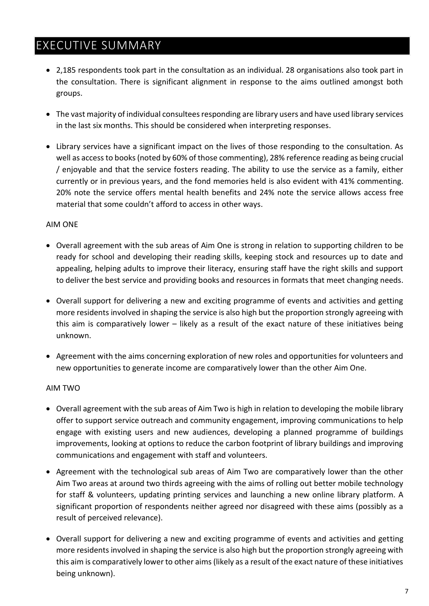## EXECUTIVE SUMMARY

- 2,185 respondents took part in the consultation as an individual. 28 organisations also took part in the consultation. There is significant alignment in response to the aims outlined amongst both groups.
- The vast majority of individual consultees responding are library users and have used library services in the last six months. This should be considered when interpreting responses.
- Library services have a significant impact on the lives of those responding to the consultation. As well as access to books (noted by 60% of those commenting), 28% reference reading as being crucial / enjoyable and that the service fosters reading. The ability to use the service as a family, either currently or in previous years, and the fond memories held is also evident with 41% commenting. 20% note the service offers mental health benefits and 24% note the service allows access free material that some couldn't afford to access in other ways.

#### AIM ONE

- Overall agreement with the sub areas of Aim One is strong in relation to supporting children to be ready for school and developing their reading skills, keeping stock and resources up to date and appealing, helping adults to improve their literacy, ensuring staff have the right skills and support to deliver the best service and providing books and resources in formats that meet changing needs.
- Overall support for delivering a new and exciting programme of events and activities and getting more residents involved in shaping the service is also high but the proportion strongly agreeing with this aim is comparatively lower – likely as a result of the exact nature of these initiatives being unknown.
- Agreement with the aims concerning exploration of new roles and opportunities for volunteers and new opportunities to generate income are comparatively lower than the other Aim One.

#### AIM TWO

- Overall agreement with the sub areas of Aim Two is high in relation to developing the mobile library offer to support service outreach and community engagement, improving communications to help engage with existing users and new audiences, developing a planned programme of buildings improvements, looking at options to reduce the carbon footprint of library buildings and improving communications and engagement with staff and volunteers.
- Agreement with the technological sub areas of Aim Two are comparatively lower than the other Aim Two areas at around two thirds agreeing with the aims of rolling out better mobile technology for staff & volunteers, updating printing services and launching a new online library platform. A significant proportion of respondents neither agreed nor disagreed with these aims (possibly as a result of perceived relevance).
- Overall support for delivering a new and exciting programme of events and activities and getting more residents involved in shaping the service is also high but the proportion strongly agreeing with this aim is comparatively lower to other aims (likely as a result of the exact nature of these initiatives being unknown).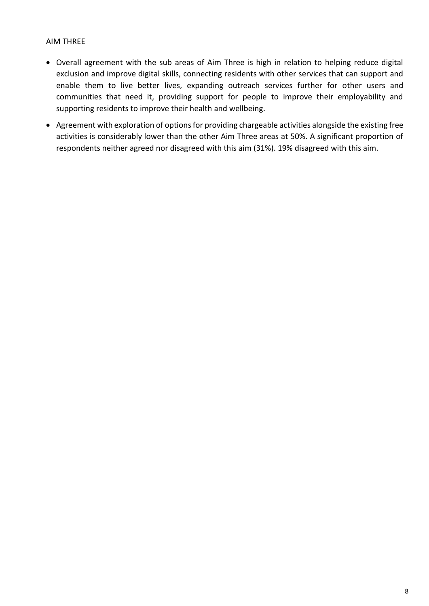#### AIM THREE

- Overall agreement with the sub areas of Aim Three is high in relation to helping reduce digital exclusion and improve digital skills, connecting residents with other services that can support and enable them to live better lives, expanding outreach services further for other users and communities that need it, providing support for people to improve their employability and supporting residents to improve their health and wellbeing.
- Agreement with exploration of options for providing chargeable activities alongside the existing free activities is considerably lower than the other Aim Three areas at 50%. A significant proportion of respondents neither agreed nor disagreed with this aim (31%). 19% disagreed with this aim.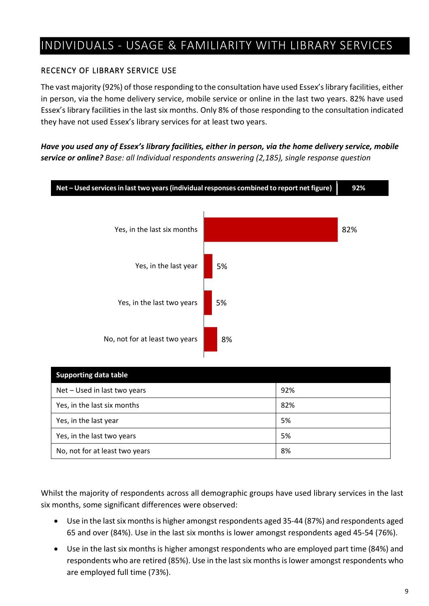## INDIVIDUALS - USAGE & FAMILIARITY WITH LIBRARY SERVICES

#### RECENCY OF LIBRARY SERVICE USE

The vast majority (92%) of those responding to the consultation have used Essex's library facilities, either in person, via the home delivery service, mobile service or online in the last two years. 82% have used Essex's library facilities in the last six months. Only 8% of those responding to the consultation indicated they have not used Essex's library services for at least two years.

#### *Have you used any of Essex's library facilities, either in person, via the home delivery service, mobile service or online? Base: all Individual respondents answering (2,185), single response question*



| <b>Supporting data table</b>   |     |
|--------------------------------|-----|
| Net - Used in last two years   | 92% |
| Yes, in the last six months    | 82% |
| Yes, in the last year          | 5%  |
| Yes, in the last two years     | 5%  |
| No, not for at least two years | 8%  |

Whilst the majority of respondents across all demographic groups have used library services in the last six months, some significant differences were observed:

- Use in the last six months is higher amongst respondents aged 35-44 (87%) and respondents aged 65 and over (84%). Use in the last six months is lower amongst respondents aged 45-54 (76%).
- Use in the last six months is higher amongst respondents who are employed part time (84%) and respondents who are retired (85%). Use in the last six months is lower amongst respondents who are employed full time (73%).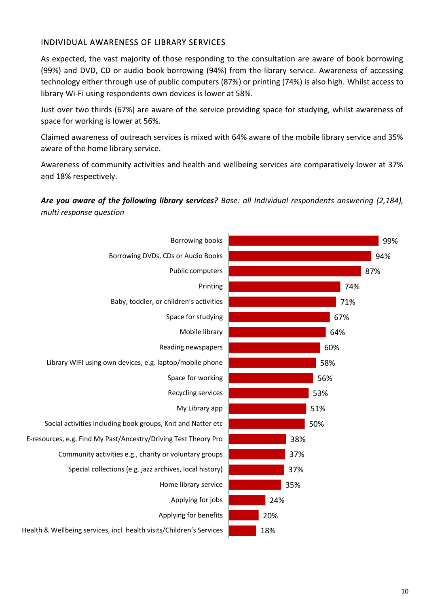#### INDIVIDUAL AWARENESS OF LIBRARY SERVICES

As expected, the vast majority of those responding to the consultation are aware of book borrowing (99%) and DVD, CD or audio book borrowing (94%) from the library service. Awareness of accessing technology either through use of public computers (87%) or printing (74%) is also high. Whilst access to library Wi-Fi using respondents own devices is lower at 58%.

Just over two thirds (67%) are aware of the service providing space for studying, whilst awareness of space for working is lower at 56%.

Claimed awareness of outreach services is mixed with 64% aware of the mobile library service and 35% aware of the home library service.

Awareness of community activities and health and wellbeing services are comparatively lower at 37% and 18% respectively.

#### *Are you aware of the following library services? Base: all Individual respondents answering (2,184), multi response question*

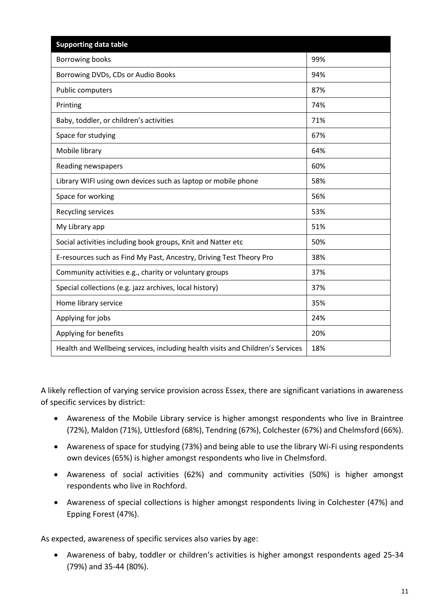| <b>Supporting data table</b>                                                   |     |
|--------------------------------------------------------------------------------|-----|
| <b>Borrowing books</b>                                                         | 99% |
| Borrowing DVDs, CDs or Audio Books                                             | 94% |
| Public computers                                                               | 87% |
| Printing                                                                       | 74% |
| Baby, toddler, or children's activities                                        | 71% |
| Space for studying                                                             | 67% |
| Mobile library                                                                 | 64% |
| Reading newspapers                                                             | 60% |
| Library WIFI using own devices such as laptop or mobile phone                  | 58% |
| Space for working                                                              | 56% |
| Recycling services                                                             | 53% |
| My Library app                                                                 | 51% |
| Social activities including book groups, Knit and Natter etc                   | 50% |
| E-resources such as Find My Past, Ancestry, Driving Test Theory Pro            | 38% |
| Community activities e.g., charity or voluntary groups                         | 37% |
| Special collections (e.g. jazz archives, local history)                        | 37% |
| Home library service                                                           | 35% |
| Applying for jobs                                                              | 24% |
| Applying for benefits                                                          | 20% |
| Health and Wellbeing services, including health visits and Children's Services | 18% |

A likely reflection of varying service provision across Essex, there are significant variations in awareness of specific services by district:

- Awareness of the Mobile Library service is higher amongst respondents who live in Braintree (72%), Maldon (71%), Uttlesford (68%), Tendring (67%), Colchester (67%) and Chelmsford (66%).
- Awareness of space for studying (73%) and being able to use the library Wi-Fi using respondents own devices (65%) is higher amongst respondents who live in Chelmsford.
- Awareness of social activities (62%) and community activities (50%) is higher amongst respondents who live in Rochford.
- Awareness of special collections is higher amongst respondents living in Colchester (47%) and Epping Forest (47%).

As expected, awareness of specific services also varies by age:

• Awareness of baby, toddler or children's activities is higher amongst respondents aged 25-34 (79%) and 35-44 (80%).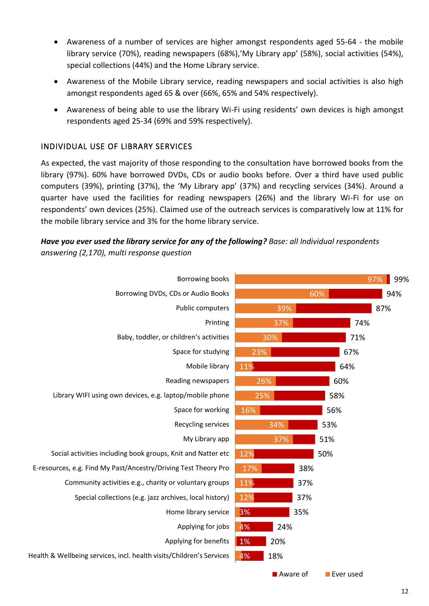- Awareness of a number of services are higher amongst respondents aged 55-64 the mobile library service (70%), reading newspapers (68%),'My Library app' (58%), social activities (54%), special collections (44%) and the Home Library service.
- Awareness of the Mobile Library service, reading newspapers and social activities is also high amongst respondents aged 65 & over (66%, 65% and 54% respectively).
- Awareness of being able to use the library Wi-Fi using residents' own devices is high amongst respondents aged 25-34 (69% and 59% respectively).

#### INDIVIDUAL USE OF LIBRARY SERVICES

As expected, the vast majority of those responding to the consultation have borrowed books from the library (97%). 60% have borrowed DVDs, CDs or audio books before. Over a third have used public computers (39%), printing (37%), the 'My Library app' (37%) and recycling services (34%). Around a quarter have used the facilities for reading newspapers (26%) and the library Wi-Fi for use on respondents' own devices (25%). Claimed use of the outreach services is comparatively low at 11% for the mobile library service and 3% for the home library service.

#### *Have you ever used the library service for any of the following? Base: all Individual respondents answering (2,170), multi response question*

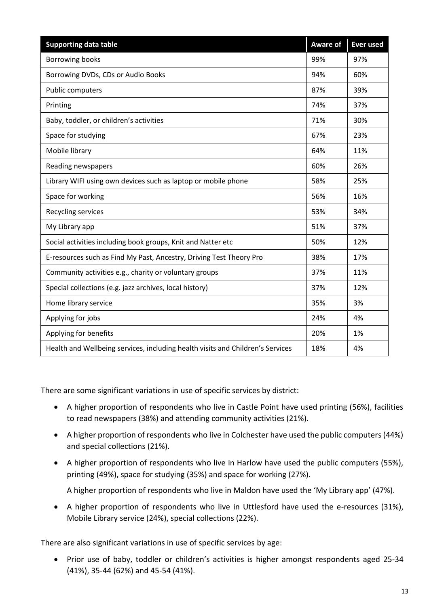| <b>Supporting data table</b>                                                   | <b>Aware of</b> | <b>Ever used</b> |
|--------------------------------------------------------------------------------|-----------------|------------------|
| <b>Borrowing books</b>                                                         | 99%             | 97%              |
| Borrowing DVDs, CDs or Audio Books                                             | 94%             | 60%              |
| <b>Public computers</b>                                                        | 87%             | 39%              |
| Printing                                                                       | 74%             | 37%              |
| Baby, toddler, or children's activities                                        | 71%             | 30%              |
| Space for studying                                                             | 67%             | 23%              |
| Mobile library                                                                 | 64%             | 11%              |
| Reading newspapers                                                             | 60%             | 26%              |
| Library WIFI using own devices such as laptop or mobile phone                  | 58%             | 25%              |
| Space for working                                                              | 56%             | 16%              |
| Recycling services                                                             | 53%             | 34%              |
| My Library app                                                                 | 51%             | 37%              |
| Social activities including book groups, Knit and Natter etc                   | 50%             | 12%              |
| E-resources such as Find My Past, Ancestry, Driving Test Theory Pro            | 38%             | 17%              |
| Community activities e.g., charity or voluntary groups                         | 37%             | 11%              |
| Special collections (e.g. jazz archives, local history)                        | 37%             | 12%              |
| Home library service                                                           | 35%             | 3%               |
| Applying for jobs                                                              | 24%             | 4%               |
| Applying for benefits                                                          | 20%             | 1%               |
| Health and Wellbeing services, including health visits and Children's Services | 18%             | 4%               |

There are some significant variations in use of specific services by district:

- A higher proportion of respondents who live in Castle Point have used printing (56%), facilities to read newspapers (38%) and attending community activities (21%).
- A higher proportion of respondents who live in Colchester have used the public computers (44%) and special collections (21%).
- A higher proportion of respondents who live in Harlow have used the public computers (55%), printing (49%), space for studying (35%) and space for working (27%).

A higher proportion of respondents who live in Maldon have used the 'My Library app' (47%).

• A higher proportion of respondents who live in Uttlesford have used the e-resources (31%), Mobile Library service (24%), special collections (22%).

There are also significant variations in use of specific services by age:

• Prior use of baby, toddler or children's activities is higher amongst respondents aged 25-34 (41%), 35-44 (62%) and 45-54 (41%).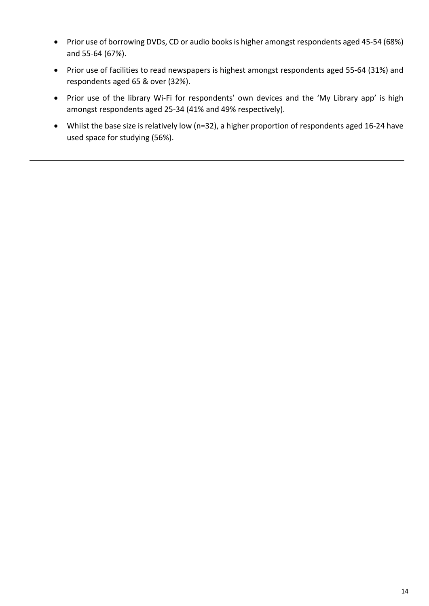- Prior use of borrowing DVDs, CD or audio books is higher amongst respondents aged 45-54 (68%) and 55-64 (67%).
- Prior use of facilities to read newspapers is highest amongst respondents aged 55-64 (31%) and respondents aged 65 & over (32%).
- Prior use of the library Wi-Fi for respondents' own devices and the 'My Library app' is high amongst respondents aged 25-34 (41% and 49% respectively).
- Whilst the base size is relatively low (n=32), a higher proportion of respondents aged 16-24 have used space for studying (56%).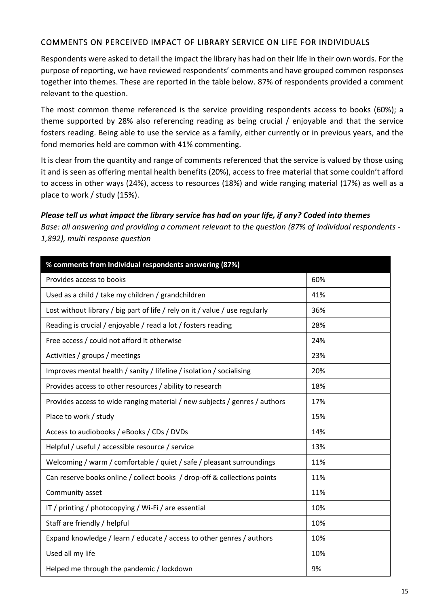#### COMMENTS ON PERCEIVED IMPACT OF LIBRARY SERVICE ON LIFE FOR INDIVIDUALS

Respondents were asked to detail the impact the library has had on their life in their own words. For the purpose of reporting, we have reviewed respondents' comments and have grouped common responses together into themes. These are reported in the table below. 87% of respondents provided a comment relevant to the question.

The most common theme referenced is the service providing respondents access to books (60%); a theme supported by 28% also referencing reading as being crucial / enjoyable and that the service fosters reading. Being able to use the service as a family, either currently or in previous years, and the fond memories held are common with 41% commenting.

It is clear from the quantity and range of comments referenced that the service is valued by those using it and is seen as offering mental health benefits (20%), access to free material that some couldn't afford to access in other ways (24%), access to resources (18%) and wide ranging material (17%) as well as a place to work / study (15%).

#### *Please tell us what impact the library service has had on your life, if any? Coded into themes*

*Base: all answering and providing a comment relevant to the question (87% of Individual respondents - 1,892), multi response question*

| % comments from Individual respondents answering (87%)                       |     |
|------------------------------------------------------------------------------|-----|
| Provides access to books                                                     | 60% |
| Used as a child / take my children / grandchildren                           | 41% |
| Lost without library / big part of life / rely on it / value / use regularly | 36% |
| Reading is crucial / enjoyable / read a lot / fosters reading                | 28% |
| Free access / could not afford it otherwise                                  | 24% |
| Activities / groups / meetings                                               | 23% |
| Improves mental health / sanity / lifeline / isolation / socialising         | 20% |
| Provides access to other resources / ability to research                     | 18% |
| Provides access to wide ranging material / new subjects / genres / authors   | 17% |
| Place to work / study                                                        | 15% |
| Access to audiobooks / eBooks / CDs / DVDs                                   | 14% |
| Helpful / useful / accessible resource / service                             | 13% |
| Welcoming / warm / comfortable / quiet / safe / pleasant surroundings        | 11% |
| Can reserve books online / collect books / drop-off & collections points     | 11% |
| Community asset                                                              | 11% |
| IT / printing / photocopying / Wi-Fi / are essential                         | 10% |
| Staff are friendly / helpful                                                 | 10% |
| Expand knowledge / learn / educate / access to other genres / authors        | 10% |
| Used all my life                                                             | 10% |
| Helped me through the pandemic / lockdown                                    | 9%  |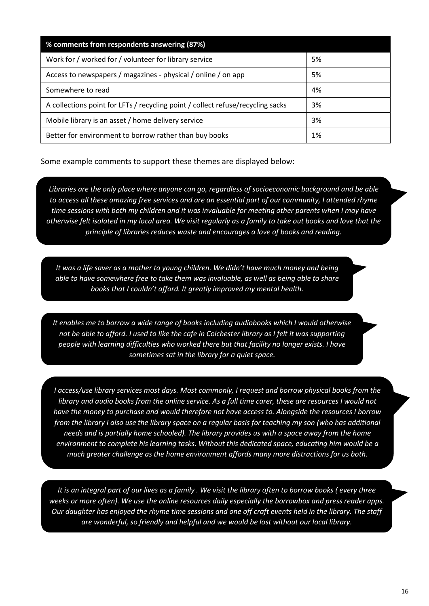| % comments from respondents answering (87%)                                     |    |
|---------------------------------------------------------------------------------|----|
| Work for / worked for / volunteer for library service                           | 5% |
| Access to newspapers / magazines - physical / online / on app                   | 5% |
| Somewhere to read                                                               | 4% |
| A collections point for LFTs / recycling point / collect refuse/recycling sacks | 3% |
| Mobile library is an asset / home delivery service                              | 3% |
| Better for environment to borrow rather than buy books                          | 1% |

Some example comments to support these themes are displayed below:

*Libraries are the only place where anyone can go, regardless of socioeconomic background and be able to access all these amazing free services and are an essential part of our community, I attended rhyme time sessions with both my children and it was invaluable for meeting other parents when I may have otherwise felt isolated in my local area. We visit regularly as a family to take out books and love that the principle of libraries reduces waste and encourages a love of books and reading.*

*It was a life saver as a mother to young children. We didn't have much money and being able to have somewhere free to take them was invaluable, as well as being able to share books that I couldn't afford. It greatly improved my mental health.*

*It enables me to borrow a wide range of books including audiobooks which I would otherwise not be able to afford. I used to like the cafe in Colchester library as I felt it was supporting people with learning difficulties who worked there but that facility no longer exists. I have sometimes sat in the library for a quiet space.*

*I access/use library services most days. Most commonly, I request and borrow physical books from the library and audio books from the online service. As a full time carer, these are resources I would not have the money to purchase and would therefore not have access to. Alongside the resources I borrow from the library I also use the library space on a regular basis for teaching my son (who has additional needs and is partially home schooled). The library provides us with a space away from the home environment to complete his learning tasks. Without this dedicated space, educating him would be a much greater challenge as the home environment affords many more distractions for us both.*

*It is an integral part of our lives as a family . We visit the library often to borrow books ( every three weeks or more often). We use the online resources daily especially the borrowbox and press reader apps. Our daughter has enjoyed the rhyme time sessions and one off craft events held in the library. The staff are wonderful, so friendly and helpful and we would be lost without our local library.*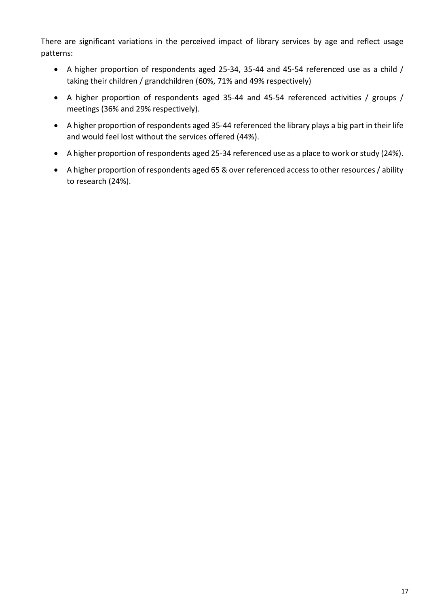There are significant variations in the perceived impact of library services by age and reflect usage patterns:

- A higher proportion of respondents aged 25-34, 35-44 and 45-54 referenced use as a child / taking their children / grandchildren (60%, 71% and 49% respectively)
- A higher proportion of respondents aged 35-44 and 45-54 referenced activities / groups / meetings (36% and 29% respectively).
- A higher proportion of respondents aged 35-44 referenced the library plays a big part in their life and would feel lost without the services offered (44%).
- A higher proportion of respondents aged 25-34 referenced use as a place to work or study (24%).
- A higher proportion of respondents aged 65 & over referenced access to other resources / ability to research (24%).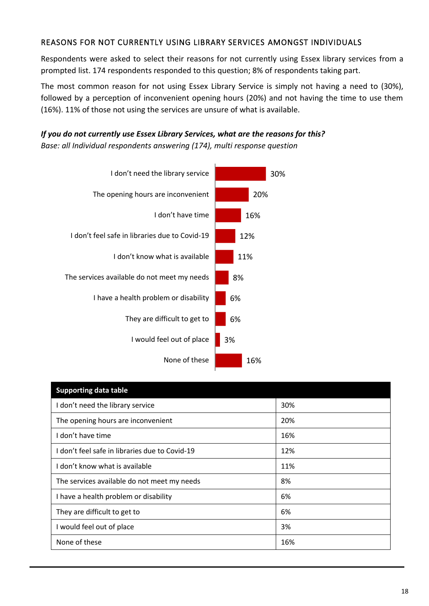#### REASONS FOR NOT CURRENTLY USING LIBRARY SERVICES AMONGST INDIVIDUALS

Respondents were asked to select their reasons for not currently using Essex library services from a prompted list. 174 respondents responded to this question; 8% of respondents taking part.

The most common reason for not using Essex Library Service is simply not having a need to (30%), followed by a perception of inconvenient opening hours (20%) and not having the time to use them (16%). 11% of those not using the services are unsure of what is available.

#### *If you do not currently use Essex Library Services, what are the reasons for this? Base: all Individual respondents answering (174), multi response question*



| <b>Supporting data table</b>                 |     |
|----------------------------------------------|-----|
| I don't need the library service             | 30% |
| The opening hours are inconvenient           | 20% |
| don't have time                              | 16% |
| don't feel safe in libraries due to Covid-19 | 12% |
| don't know what is available                 | 11% |
| The services available do not meet my needs  | 8%  |
| I have a health problem or disability        | 6%  |
| They are difficult to get to                 | 6%  |
| would feel out of place                      | 3%  |
| None of these                                | 16% |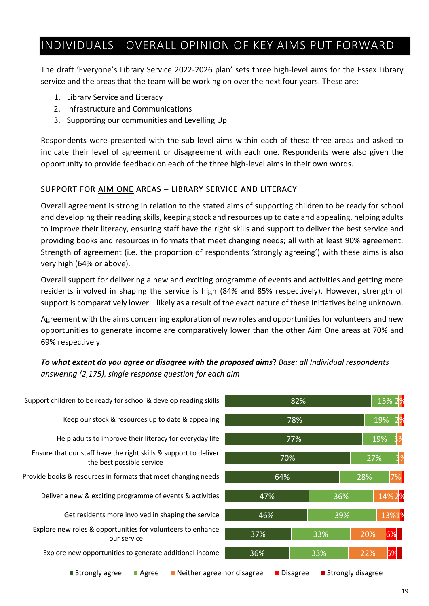## INDIVIDUALS - OVERALL OPINION OF KEY AIMS PUT FORWARD

The draft 'Everyone's Library Service 2022-2026 plan' sets three high-level aims for the Essex Library service and the areas that the team will be working on over the next four years. These are:

- 1. Library Service and Literacy
- 2. Infrastructure and Communications
- 3. Supporting our communities and Levelling Up

Respondents were presented with the sub level aims within each of these three areas and asked to indicate their level of agreement or disagreement with each one. Respondents were also given the opportunity to provide feedback on each of the three high-level aims in their own words.

#### SUPPORT FOR AIM ONE AREAS – LIBRARY SERVICE AND LITERACY

Overall agreement is strong in relation to the stated aims of supporting children to be ready for school and developing their reading skills, keeping stock and resources up to date and appealing, helping adults to improve their literacy, ensuring staff have the right skills and support to deliver the best service and providing books and resources in formats that meet changing needs; all with at least 90% agreement. Strength of agreement (i.e. the proportion of respondents 'strongly agreeing') with these aims is also very high (64% or above).

Overall support for delivering a new and exciting programme of events and activities and getting more residents involved in shaping the service is high (84% and 85% respectively). However, strength of support is comparatively lower – likely as a result of the exact nature of these initiatives being unknown.

Agreement with the aims concerning exploration of new roles and opportunities for volunteers and new opportunities to generate income are comparatively lower than the other Aim One areas at 70% and 69% respectively.

*To what extent do you agree or disagree with the proposed aims***?** *Base: all Individual respondents answering (2,175), single response question for each aim*

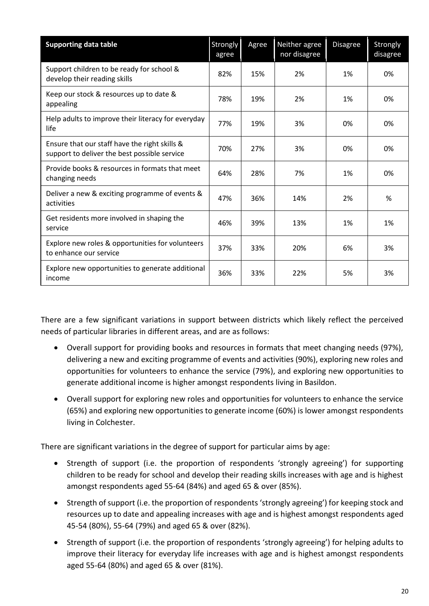| <b>Supporting data table</b>                                                                  | <b>Strongly</b><br>agree | Agree | Neither agree<br>nor disagree | Disagree | Strongly<br>disagree |
|-----------------------------------------------------------------------------------------------|--------------------------|-------|-------------------------------|----------|----------------------|
| Support children to be ready for school &<br>develop their reading skills                     | 82%                      | 15%   | 2%                            | 1%       | 0%                   |
| Keep our stock & resources up to date &<br>appealing                                          | 78%                      | 19%   | 2%                            | 1%       | 0%                   |
| Help adults to improve their literacy for everyday<br>life                                    | 77%                      | 19%   | 3%                            | 0%       | 0%                   |
| Ensure that our staff have the right skills &<br>support to deliver the best possible service | 70%                      | 27%   | 3%                            | 0%       | 0%                   |
| Provide books & resources in formats that meet<br>changing needs                              | 64%                      | 28%   | 7%                            | 1%       | 0%                   |
| Deliver a new & exciting programme of events &<br>activities                                  | 47%                      | 36%   | 14%                           | 2%       | %                    |
| Get residents more involved in shaping the<br>service                                         | 46%                      | 39%   | 13%                           | 1%       | 1%                   |
| Explore new roles & opportunities for volunteers<br>to enhance our service                    | 37%                      | 33%   | 20%                           | 6%       | 3%                   |
| Explore new opportunities to generate additional<br>income                                    | 36%                      | 33%   | 22%                           | 5%       | 3%                   |

There are a few significant variations in support between districts which likely reflect the perceived needs of particular libraries in different areas, and are as follows:

- Overall support for providing books and resources in formats that meet changing needs (97%), delivering a new and exciting programme of events and activities (90%), exploring new roles and opportunities for volunteers to enhance the service (79%), and exploring new opportunities to generate additional income is higher amongst respondents living in Basildon.
- Overall support for exploring new roles and opportunities for volunteers to enhance the service (65%) and exploring new opportunities to generate income (60%) is lower amongst respondents living in Colchester.

There are significant variations in the degree of support for particular aims by age:

- Strength of support (i.e. the proportion of respondents 'strongly agreeing') for supporting children to be ready for school and develop their reading skills increases with age and is highest amongst respondents aged 55-64 (84%) and aged 65 & over (85%).
- Strength of support (i.e. the proportion of respondents'strongly agreeing') for keeping stock and resources up to date and appealing increases with age and is highest amongst respondents aged 45-54 (80%), 55-64 (79%) and aged 65 & over (82%).
- Strength of support (i.e. the proportion of respondents 'strongly agreeing') for helping adults to improve their literacy for everyday life increases with age and is highest amongst respondents aged 55-64 (80%) and aged 65 & over (81%).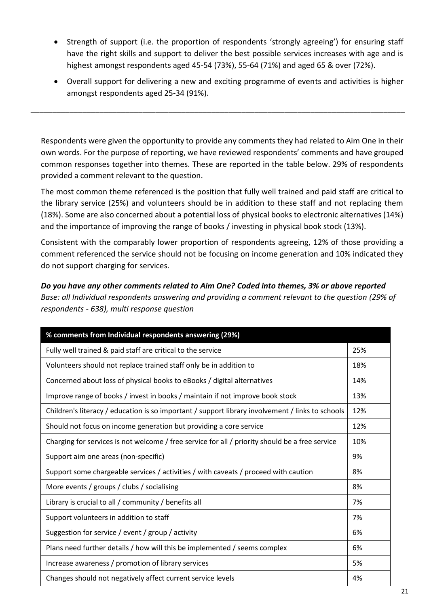- Strength of support (i.e. the proportion of respondents 'strongly agreeing') for ensuring staff have the right skills and support to deliver the best possible services increases with age and is highest amongst respondents aged 45-54 (73%), 55-64 (71%) and aged 65 & over (72%).
- Overall support for delivering a new and exciting programme of events and activities is higher amongst respondents aged 25-34 (91%).

Respondents were given the opportunity to provide any comments they had related to Aim One in their own words. For the purpose of reporting, we have reviewed respondents' comments and have grouped common responses together into themes. These are reported in the table below. 29% of respondents provided a comment relevant to the question.

\_\_\_\_\_\_\_\_\_\_\_\_\_\_\_\_\_\_\_\_\_\_\_\_\_\_\_\_\_\_\_\_\_\_\_\_\_\_\_\_\_\_\_\_\_\_\_\_\_\_\_\_\_\_\_\_\_\_\_\_\_\_\_\_\_\_\_\_\_\_\_\_\_\_\_\_\_\_\_\_\_\_\_\_\_\_\_

The most common theme referenced is the position that fully well trained and paid staff are critical to the library service (25%) and volunteers should be in addition to these staff and not replacing them (18%). Some are also concerned about a potential loss of physical books to electronic alternatives (14%) and the importance of improving the range of books / investing in physical book stock (13%).

Consistent with the comparably lower proportion of respondents agreeing, 12% of those providing a comment referenced the service should not be focusing on income generation and 10% indicated they do not support charging for services.

*Do you have any other comments related to Aim One? Coded into themes, 3% or above reported Base: all Individual respondents answering and providing a comment relevant to the question (29% of respondents - 638), multi response question*

| % comments from Individual respondents answering (29%)                                           |     |
|--------------------------------------------------------------------------------------------------|-----|
| Fully well trained & paid staff are critical to the service                                      | 25% |
| Volunteers should not replace trained staff only be in addition to                               | 18% |
| Concerned about loss of physical books to eBooks / digital alternatives                          | 14% |
| Improve range of books / invest in books / maintain if not improve book stock                    | 13% |
| Children's literacy / education is so important / support library involvement / links to schools | 12% |
| Should not focus on income generation but providing a core service                               | 12% |
| Charging for services is not welcome / free service for all / priority should be a free service  | 10% |
| Support aim one areas (non-specific)                                                             | 9%  |
| Support some chargeable services / activities / with caveats / proceed with caution              | 8%  |
| More events / groups / clubs / socialising                                                       | 8%  |
| Library is crucial to all / community / benefits all                                             | 7%  |
| Support volunteers in addition to staff                                                          | 7%  |
| Suggestion for service / event / group / activity                                                | 6%  |
| Plans need further details / how will this be implemented / seems complex                        | 6%  |
| Increase awareness / promotion of library services                                               | 5%  |
| Changes should not negatively affect current service levels                                      | 4%  |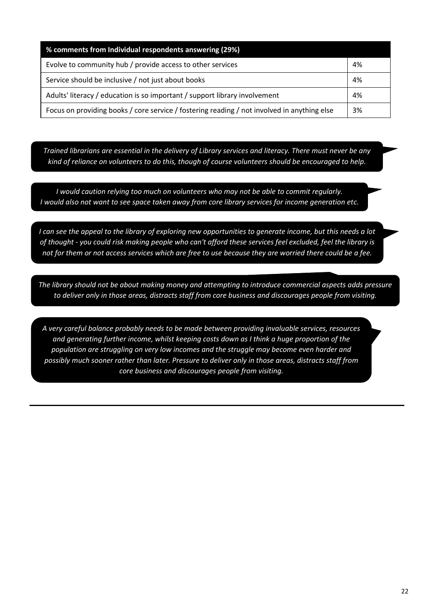| % comments from Individual respondents answering (29%)                                      |    |
|---------------------------------------------------------------------------------------------|----|
| Evolve to community hub / provide access to other services                                  | 4% |
| Service should be inclusive / not just about books                                          | 4% |
| Adults' literacy / education is so important / support library involvement                  | 4% |
| Focus on providing books / core service / fostering reading / not involved in anything else | 3% |

*Trained librarians are essential in the delivery of Library services and literacy. There must never be any kind of reliance on volunteers to do this, though of course volunteers should be encouraged to help.*

*I would caution relying too much on volunteers who may not be able to commit regularly. I would also not want to see space taken away from core library services for income generation etc.*

*I can see the appeal to the library of exploring new opportunities to generate income, but this needs a lot of thought - you could risk making people who can't afford these services feel excluded, feel the library is not for them or not access services which are free to use because they are worried there could be a fee.*

*The library should not be about making money and attempting to introduce commercial aspects adds pressure to deliver only in those areas, distracts staff from core business and discourages people from visiting.*

*A very careful balance probably needs to be made between providing invaluable services, resources and generating further income, whilst keeping costs down as I think a huge proportion of the population are struggling on very low incomes and the struggle may become even harder and possibly much sooner rather than later. Pressure to deliver only in those areas, distracts staff from core business and discourages people from visiting.*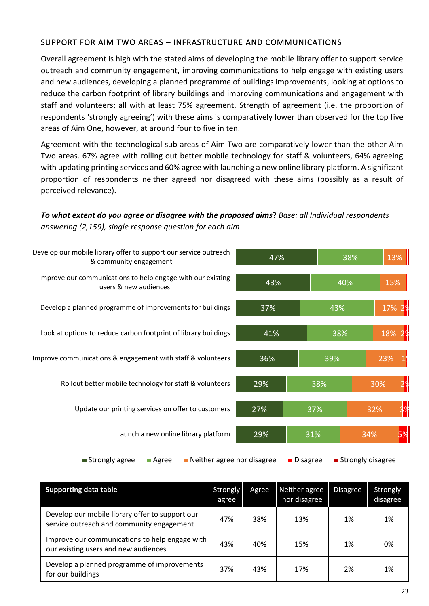#### SUPPORT FOR AIM TWO AREAS – INFRASTRUCTURE AND COMMUNICATIONS

Overall agreement is high with the stated aims of developing the mobile library offer to support service outreach and community engagement, improving communications to help engage with existing users and new audiences, developing a planned programme of buildings improvements, looking at options to reduce the carbon footprint of library buildings and improving communications and engagement with staff and volunteers; all with at least 75% agreement. Strength of agreement (i.e. the proportion of respondents 'strongly agreeing') with these aims is comparatively lower than observed for the top five areas of Aim One, however, at around four to five in ten.

Agreement with the technological sub areas of Aim Two are comparatively lower than the other Aim Two areas. 67% agree with rolling out better mobile technology for staff & volunteers, 64% agreeing with updating printing services and 60% agree with launching a new online library platform. A significant proportion of respondents neither agreed nor disagreed with these aims (possibly as a result of perceived relevance).

*To what extent do you agree or disagree with the proposed aims***?** *Base: all Individual respondents answering (2,159), single response question for each aim*



| <b>Supporting data table</b>                                                                 | <b>Strongly</b><br>agree | Agree | Neither agree<br>nor disagree | <b>Disagree</b> | Strongly<br>disagree |
|----------------------------------------------------------------------------------------------|--------------------------|-------|-------------------------------|-----------------|----------------------|
| Develop our mobile library offer to support our<br>service outreach and community engagement | 47%                      | 38%   | 13%                           | 1%              | 1%                   |
| Improve our communications to help engage with<br>our existing users and new audiences       | 43%                      | 40%   | 15%                           | 1%              | 0%                   |
| Develop a planned programme of improvements<br>for our buildings                             | 37%                      | 43%   | 17%                           | 2%              | 1%                   |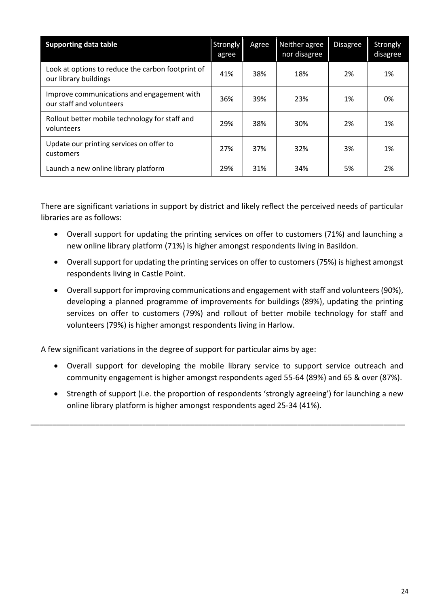| <b>Supporting data table</b>                                               | Strongly<br>agree | Agree | Neither agree<br>nor disagree | <b>Disagree</b> | Strongly<br>disagree |
|----------------------------------------------------------------------------|-------------------|-------|-------------------------------|-----------------|----------------------|
| Look at options to reduce the carbon footprint of<br>our library buildings | 41%               | 38%   | 18%                           | 2%              | 1%                   |
| Improve communications and engagement with<br>our staff and volunteers     | 36%               | 39%   | 23%                           | 1%              | 0%                   |
| Rollout better mobile technology for staff and<br>volunteers               | 29%               | 38%   | 30%                           | 2%              | 1%                   |
| Update our printing services on offer to<br>customers                      | 27%               | 37%   | 32%                           | 3%              | 1%                   |
| Launch a new online library platform                                       | 29%               | 31%   | 34%                           | 5%              | 2%                   |

There are significant variations in support by district and likely reflect the perceived needs of particular libraries are as follows:

- Overall support for updating the printing services on offer to customers (71%) and launching a new online library platform (71%) is higher amongst respondents living in Basildon.
- Overall support for updating the printing services on offer to customers (75%) is highest amongst respondents living in Castle Point.
- Overall support for improving communications and engagement with staff and volunteers (90%), developing a planned programme of improvements for buildings (89%), updating the printing services on offer to customers (79%) and rollout of better mobile technology for staff and volunteers (79%) is higher amongst respondents living in Harlow.

A few significant variations in the degree of support for particular aims by age:

- Overall support for developing the mobile library service to support service outreach and community engagement is higher amongst respondents aged 55-64 (89%) and 65 & over (87%).
- Strength of support (i.e. the proportion of respondents 'strongly agreeing') for launching a new online library platform is higher amongst respondents aged 25-34 (41%).

\_\_\_\_\_\_\_\_\_\_\_\_\_\_\_\_\_\_\_\_\_\_\_\_\_\_\_\_\_\_\_\_\_\_\_\_\_\_\_\_\_\_\_\_\_\_\_\_\_\_\_\_\_\_\_\_\_\_\_\_\_\_\_\_\_\_\_\_\_\_\_\_\_\_\_\_\_\_\_\_\_\_\_\_\_\_\_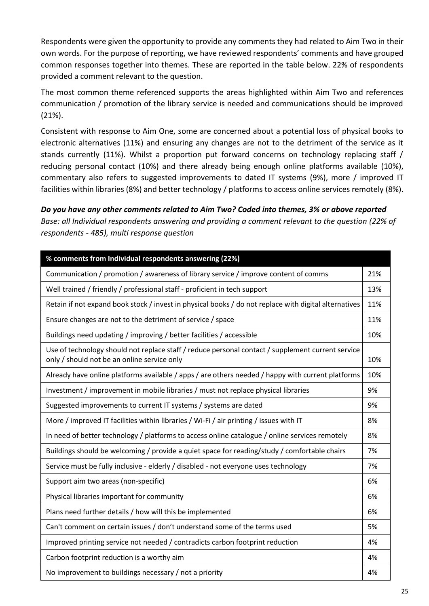Respondents were given the opportunity to provide any comments they had related to Aim Two in their own words. For the purpose of reporting, we have reviewed respondents' comments and have grouped common responses together into themes. These are reported in the table below. 22% of respondents provided a comment relevant to the question.

The most common theme referenced supports the areas highlighted within Aim Two and references communication / promotion of the library service is needed and communications should be improved (21%).

Consistent with response to Aim One, some are concerned about a potential loss of physical books to electronic alternatives (11%) and ensuring any changes are not to the detriment of the service as it stands currently (11%). Whilst a proportion put forward concerns on technology replacing staff / reducing personal contact (10%) and there already being enough online platforms available (10%), commentary also refers to suggested improvements to dated IT systems (9%), more / improved IT facilities within libraries (8%) and better technology / platforms to access online services remotely (8%).

*Do you have any other comments related to Aim Two? Coded into themes, 3% or above reported Base: all Individual respondents answering and providing a comment relevant to the question (22% of respondents - 485), multi response question*

| % comments from Individual respondents answering (22%)                                                                                           |     |
|--------------------------------------------------------------------------------------------------------------------------------------------------|-----|
| Communication / promotion / awareness of library service / improve content of comms                                                              | 21% |
| Well trained / friendly / professional staff - proficient in tech support                                                                        | 13% |
| Retain if not expand book stock / invest in physical books / do not replace with digital alternatives                                            | 11% |
| Ensure changes are not to the detriment of service / space                                                                                       | 11% |
| Buildings need updating / improving / better facilities / accessible                                                                             | 10% |
| Use of technology should not replace staff / reduce personal contact / supplement current service<br>only / should not be an online service only | 10% |
| Already have online platforms available / apps / are others needed / happy with current platforms                                                | 10% |
| Investment / improvement in mobile libraries / must not replace physical libraries                                                               | 9%  |
| Suggested improvements to current IT systems / systems are dated                                                                                 | 9%  |
| More / improved IT facilities within libraries / Wi-Fi / air printing / issues with IT                                                           | 8%  |
| In need of better technology / platforms to access online catalogue / online services remotely                                                   | 8%  |
| Buildings should be welcoming / provide a quiet space for reading/study / comfortable chairs                                                     | 7%  |
| Service must be fully inclusive - elderly / disabled - not everyone uses technology                                                              | 7%  |
| Support aim two areas (non-specific)                                                                                                             | 6%  |
| Physical libraries important for community                                                                                                       | 6%  |
| Plans need further details / how will this be implemented                                                                                        | 6%  |
| Can't comment on certain issues / don't understand some of the terms used                                                                        | 5%  |
| Improved printing service not needed / contradicts carbon footprint reduction                                                                    | 4%  |
| Carbon footprint reduction is a worthy aim                                                                                                       | 4%  |
| No improvement to buildings necessary / not a priority                                                                                           | 4%  |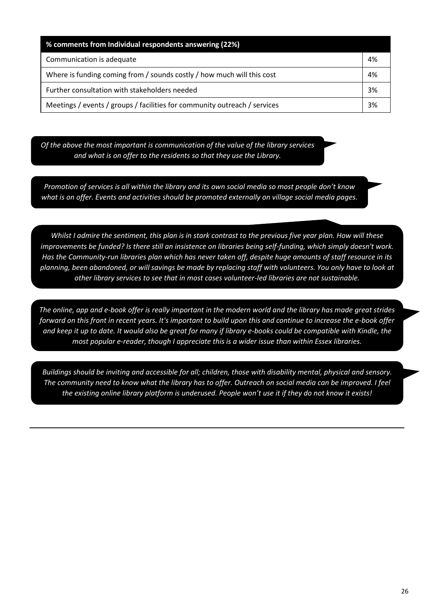| % comments from Individual respondents answering (22%)                    |    |
|---------------------------------------------------------------------------|----|
| Communication is adequate                                                 | 4% |
| Where is funding coming from / sounds costly / how much will this cost    | 4% |
| Further consultation with stakeholders needed                             | 3% |
| Meetings / events / groups / facilities for community outreach / services | 3% |

*Of the above the most important is communication of the value of the library services and what is on offer to the residents so that they use the Library.*

*Promotion of services is all within the library and its own social media so most people don't know what is on offer. Events and activities should be promoted externally on village social media pages.*

*Whilst I admire the sentiment, this plan is in stark contrast to the previous five year plan. How will these improvements be funded? Is there still an insistence on libraries being self-funding, which simply doesn't work. Has the Community-run libraries plan which has never taken off, despite huge amounts of staff resource in its planning, been abandoned, or will savings be made by replacing staff with volunteers. You only have to look at other library services to see that in most cases volunteer-led libraries are not sustainable.*

*The online, app and e-book offer is really important in the modern world and the library has made great strides forward on this front in recent years. It's important to build upon this and continue to increase the e-book offer and keep it up to date. It would also be great for many if library e-books could be compatible with Kindle, the most popular e-reader, though I appreciate this is a wider issue than within Essex libraries.*

*Buildings should be inviting and accessible for all; children, those with disability mental, physical and sensory. The community need to know what the library has to offer. Outreach on social media can be improved. I feel the existing online library platform is underused. People won't use it if they do not know it exists!*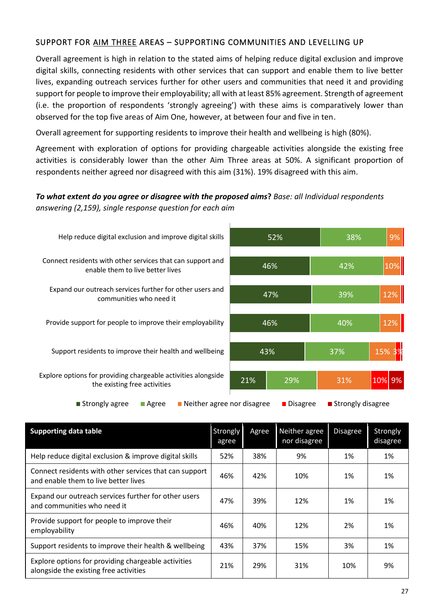#### SUPPORT FOR AIM THREE AREAS - SUPPORTING COMMUNITIES AND LEVELLING UP

Overall agreement is high in relation to the stated aims of helping reduce digital exclusion and improve digital skills, connecting residents with other services that can support and enable them to live better lives, expanding outreach services further for other users and communities that need it and providing support for people to improve their employability; all with at least 85% agreement. Strength of agreement (i.e. the proportion of respondents 'strongly agreeing') with these aims is comparatively lower than observed for the top five areas of Aim One, however, at between four and five in ten.

Overall agreement for supporting residents to improve their health and wellbeing is high (80%).

Agreement with exploration of options for providing chargeable activities alongside the existing free activities is considerably lower than the other Aim Three areas at 50%. A significant proportion of respondents neither agreed nor disagreed with this aim (31%). 19% disagreed with this aim.

#### *To what extent do you agree or disagree with the proposed aims***?** *Base: all Individual respondents answering (2,159), single response question for each aim*



| <b>Supporting data table</b>                                                                   | Strongly<br>agree | Agree | Neither agree<br>nor disagree | <b>Disagree</b> | Strongly<br>disagree |
|------------------------------------------------------------------------------------------------|-------------------|-------|-------------------------------|-----------------|----------------------|
| Help reduce digital exclusion & improve digital skills                                         | 52%               | 38%   | 9%                            | 1%              | 1%                   |
| Connect residents with other services that can support<br>and enable them to live better lives | 46%               | 42%   | 10%                           | 1%              | 1%                   |
| Expand our outreach services further for other users<br>and communities who need it            | 47%               | 39%   | 12%                           | 1%              | 1%                   |
| Provide support for people to improve their<br>employability                                   | 46%               | 40%   | 12%                           | 2%              | 1%                   |
| Support residents to improve their health & wellbeing                                          | 43%               | 37%   | 15%                           | 3%              | 1%                   |
| Explore options for providing chargeable activities<br>alongside the existing free activities  | 21%               | 29%   | 31%                           | 10%             | 9%                   |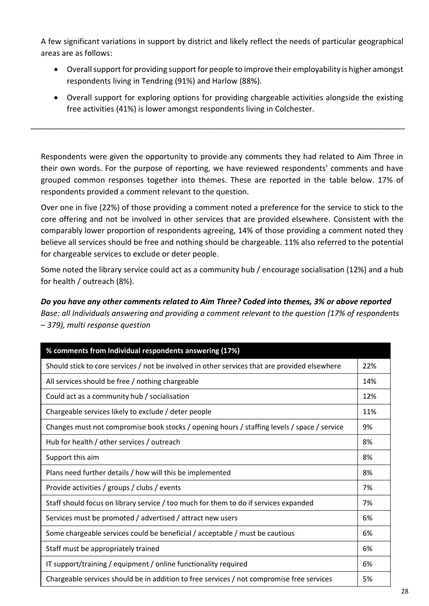A few significant variations in support by district and likely reflect the needs of particular geographical areas are as follows:

- Overall support for providing support for people to improve their employability is higher amongst respondents living in Tendring (91%) and Harlow (88%).
- Overall support for exploring options for providing chargeable activities alongside the existing free activities (41%) is lower amongst respondents living in Colchester.

Respondents were given the opportunity to provide any comments they had related to Aim Three in their own words. For the purpose of reporting, we have reviewed respondents' comments and have grouped common responses together into themes. These are reported in the table below. 17% of respondents provided a comment relevant to the question.

\_\_\_\_\_\_\_\_\_\_\_\_\_\_\_\_\_\_\_\_\_\_\_\_\_\_\_\_\_\_\_\_\_\_\_\_\_\_\_\_\_\_\_\_\_\_\_\_\_\_\_\_\_\_\_\_\_\_\_\_\_\_\_\_\_\_\_\_\_\_\_\_\_\_\_\_\_\_\_\_\_\_\_\_\_\_\_

Over one in five (22%) of those providing a comment noted a preference for the service to stick to the core offering and not be involved in other services that are provided elsewhere. Consistent with the comparably lower proportion of respondents agreeing, 14% of those providing a comment noted they believe all services should be free and nothing should be chargeable. 11% also referred to the potential for chargeable services to exclude or deter people.

Some noted the library service could act as a community hub / encourage socialisation (12%) and a hub for health / outreach (8%).

*Do you have any other comments related to Aim Three? Coded into themes, 3% or above reported Base: all Individuals answering and providing a comment relevant to the question (17% of respondents – 379), multi response question*

| % comments from Individual respondents answering (17%)                                        |     |
|-----------------------------------------------------------------------------------------------|-----|
| Should stick to core services / not be involved in other services that are provided elsewhere | 22% |
| All services should be free / nothing chargeable                                              | 14% |
| Could act as a community hub / socialisation                                                  | 12% |
| Chargeable services likely to exclude / deter people                                          | 11% |
| Changes must not compromise book stocks / opening hours / staffing levels / space / service   | 9%  |
| Hub for health / other services / outreach                                                    | 8%  |
| Support this aim                                                                              | 8%  |
| Plans need further details / how will this be implemented                                     | 8%  |
| Provide activities / groups / clubs / events                                                  | 7%  |
| Staff should focus on library service / too much for them to do if services expanded          | 7%  |
| Services must be promoted / advertised / attract new users                                    | 6%  |
| Some chargeable services could be beneficial / acceptable / must be cautious                  | 6%  |
| Staff must be appropriately trained                                                           | 6%  |
| IT support/training / equipment / online functionality required                               | 6%  |
| Chargeable services should be in addition to free services / not compromise free services     | 5%  |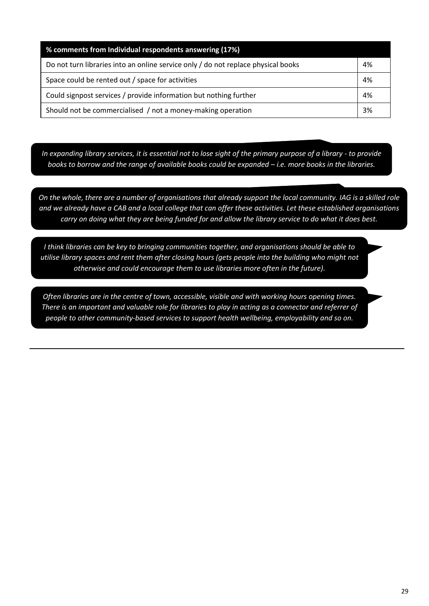| % comments from Individual respondents answering (17%)                            |    |
|-----------------------------------------------------------------------------------|----|
| Do not turn libraries into an online service only / do not replace physical books | 4% |
| Space could be rented out / space for activities                                  | 4% |
| Could signpost services / provide information but nothing further                 | 4% |
| Should not be commercialised / not a money-making operation                       | 3% |

*In expanding library services, it is essential not to lose sight of the primary purpose of a library - to provide books to borrow and the range of available books could be expanded – i.e. more books in the libraries.* 

*On the whole, there are a number of organisations that already support the local community. IAG is a skilled role and we already have a CAB and a local college that can offer these activities. Let these established organisations carry on doing what they are being funded for and allow the library service to do what it does best.*

*I think libraries can be key to bringing communities together, and organisations should be able to utilise library spaces and rent them after closing hours (gets people into the building who might not otherwise and could encourage them to use libraries more often in the future).*

*Often libraries are in the centre of town, accessible, visible and with working hours opening times. There is an important and valuable role for libraries to play in acting as a connector and referrer of people to other community-based services to support health wellbeing, employability and so on.*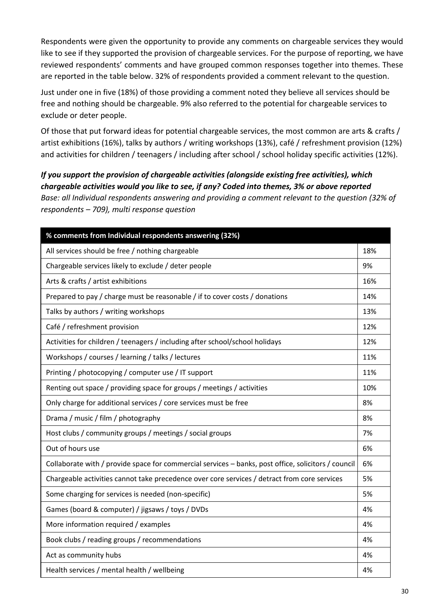Respondents were given the opportunity to provide any comments on chargeable services they would like to see if they supported the provision of chargeable services. For the purpose of reporting, we have reviewed respondents' comments and have grouped common responses together into themes. These are reported in the table below. 32% of respondents provided a comment relevant to the question.

Just under one in five (18%) of those providing a comment noted they believe all services should be free and nothing should be chargeable. 9% also referred to the potential for chargeable services to exclude or deter people.

Of those that put forward ideas for potential chargeable services, the most common are arts & crafts / artist exhibitions (16%), talks by authors / writing workshops (13%), café / refreshment provision (12%) and activities for children / teenagers / including after school / school holiday specific activities (12%).

*If you support the provision of chargeable activities (alongside existing free activities), which chargeable activities would you like to see, if any? Coded into themes, 3% or above reported Base: all Individual respondents answering and providing a comment relevant to the question (32% of respondents – 709), multi response question*

| % comments from Individual respondents answering (32%)                                              |     |
|-----------------------------------------------------------------------------------------------------|-----|
| All services should be free / nothing chargeable                                                    | 18% |
| Chargeable services likely to exclude / deter people                                                | 9%  |
| Arts & crafts / artist exhibitions                                                                  | 16% |
| Prepared to pay / charge must be reasonable / if to cover costs / donations                         | 14% |
| Talks by authors / writing workshops                                                                | 13% |
| Café / refreshment provision                                                                        | 12% |
| Activities for children / teenagers / including after school/school holidays                        | 12% |
| Workshops / courses / learning / talks / lectures                                                   | 11% |
| Printing / photocopying / computer use / IT support                                                 | 11% |
| Renting out space / providing space for groups / meetings / activities                              | 10% |
| Only charge for additional services / core services must be free                                    | 8%  |
| Drama / music / film / photography                                                                  | 8%  |
| Host clubs / community groups / meetings / social groups                                            | 7%  |
| Out of hours use                                                                                    | 6%  |
| Collaborate with / provide space for commercial services - banks, post office, solicitors / council | 6%  |
| Chargeable activities cannot take precedence over core services / detract from core services        | 5%  |
| Some charging for services is needed (non-specific)                                                 | 5%  |
| Games (board & computer) / jigsaws / toys / DVDs                                                    | 4%  |
| More information required / examples                                                                | 4%  |
| Book clubs / reading groups / recommendations                                                       | 4%  |
| Act as community hubs                                                                               | 4%  |
| Health services / mental health / wellbeing                                                         | 4%  |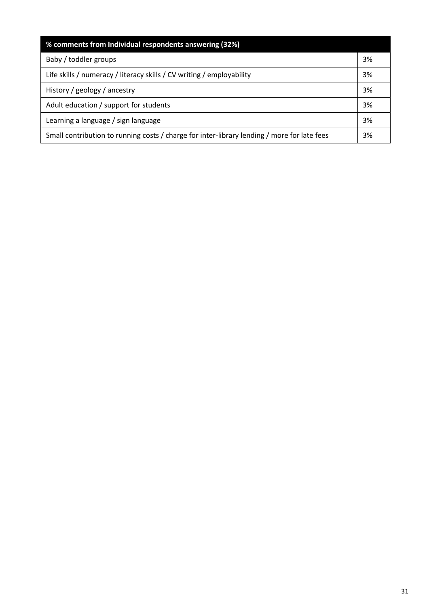| % comments from Individual respondents answering (32%)                                      |    |
|---------------------------------------------------------------------------------------------|----|
| Baby / toddler groups                                                                       | 3% |
| Life skills / numeracy / literacy skills / CV writing / employability                       | 3% |
| History / geology / ancestry                                                                | 3% |
| Adult education / support for students                                                      | 3% |
| Learning a language / sign language                                                         | 3% |
| Small contribution to running costs / charge for inter-library lending / more for late fees | 3% |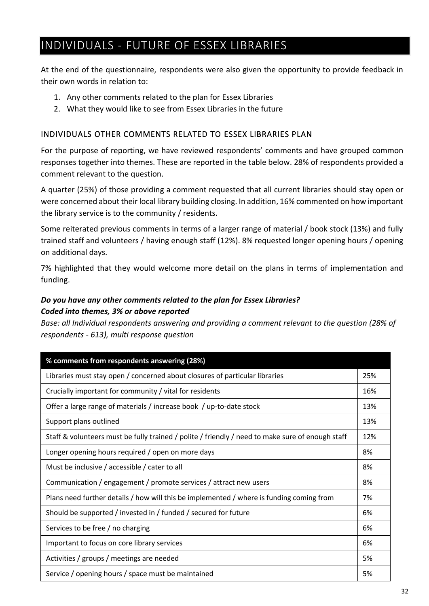## INDIVIDUALS - FUTURE OF ESSEX LIBRARIES

At the end of the questionnaire, respondents were also given the opportunity to provide feedback in their own words in relation to:

- 1. Any other comments related to the plan for Essex Libraries
- 2. What they would like to see from Essex Libraries in the future

#### INDIVIDUALS OTHER COMMENTS RELATED TO ESSEX LIBRARIES PLAN

For the purpose of reporting, we have reviewed respondents' comments and have grouped common responses together into themes. These are reported in the table below. 28% of respondents provided a comment relevant to the question.

A quarter (25%) of those providing a comment requested that all current libraries should stay open or were concerned about their local library building closing. In addition, 16% commented on how important the library service is to the community / residents.

Some reiterated previous comments in terms of a larger range of material / book stock (13%) and fully trained staff and volunteers / having enough staff (12%). 8% requested longer opening hours / opening on additional days.

7% highlighted that they would welcome more detail on the plans in terms of implementation and funding.

#### *Do you have any other comments related to the plan for Essex Libraries? Coded into themes, 3% or above reported*

*Base: all Individual respondents answering and providing a comment relevant to the question (28% of respondents - 613), multi response question*

| % comments from respondents answering (28%)                                                      |     |
|--------------------------------------------------------------------------------------------------|-----|
| Libraries must stay open / concerned about closures of particular libraries                      | 25% |
| Crucially important for community / vital for residents                                          | 16% |
| Offer a large range of materials / increase book / up-to-date stock                              | 13% |
| Support plans outlined                                                                           | 13% |
| Staff & volunteers must be fully trained / polite / friendly / need to make sure of enough staff | 12% |
| Longer opening hours required / open on more days                                                | 8%  |
| Must be inclusive / accessible / cater to all                                                    | 8%  |
| Communication / engagement / promote services / attract new users                                | 8%  |
| Plans need further details / how will this be implemented / where is funding coming from         | 7%  |
| Should be supported / invested in / funded / secured for future                                  | 6%  |
| Services to be free / no charging                                                                | 6%  |
| Important to focus on core library services                                                      | 6%  |
| Activities / groups / meetings are needed                                                        | 5%  |
| Service / opening hours / space must be maintained                                               | 5%  |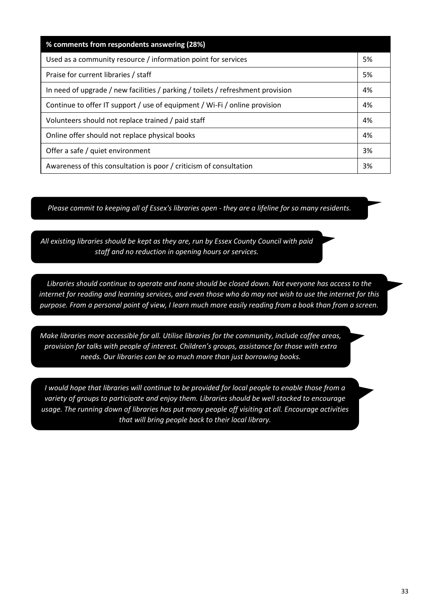| % comments from respondents answering (28%)                                     |    |
|---------------------------------------------------------------------------------|----|
| Used as a community resource / information point for services                   | 5% |
| Praise for current libraries / staff                                            | 5% |
| In need of upgrade / new facilities / parking / toilets / refreshment provision | 4% |
| Continue to offer IT support / use of equipment / Wi-Fi / online provision      | 4% |
| Volunteers should not replace trained / paid staff                              | 4% |
| Online offer should not replace physical books                                  | 4% |
| Offer a safe / quiet environment                                                | 3% |
| Awareness of this consultation is poor / criticism of consultation              | 3% |

*Please commit to keeping all of Essex's libraries open - they are a lifeline for so many residents.*

*All existing libraries should be kept as they are, run by Essex County Council with paid staff and no reduction in opening hours or services.*

*Libraries should continue to operate and none should be closed down. Not everyone has access to the internet for reading and learning services, and even those who do may not wish to use the internet for this purpose. From a personal point of view, I learn much more easily reading from a book than from a screen.*

*Make libraries more accessible for all. Utilise libraries for the community, include coffee areas, provision for talks with people of interest. Children's groups, assistance for those with extra needs. Our libraries can be so much more than just borrowing books.*

*I* would hope that libraries will continue to be provided for local people to enable those from a *variety of groups to participate and enjoy them. Libraries should be well stocked to encourage usage. The running down of libraries has put many people off visiting at all. Encourage activities that will bring people back to their local library.*

*Libraries need to be housed in pleasant buildings and staffed by professional staff..*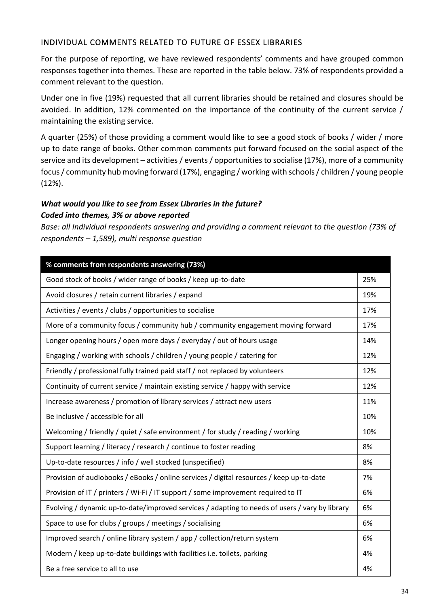#### INDIVIDUAL COMMENTS RELATED TO FUTURE OF ESSEX LIBRARIES

For the purpose of reporting, we have reviewed respondents' comments and have grouped common responses together into themes. These are reported in the table below. 73% of respondents provided a comment relevant to the question.

Under one in five (19%) requested that all current libraries should be retained and closures should be avoided. In addition, 12% commented on the importance of the continuity of the current service / maintaining the existing service.

A quarter (25%) of those providing a comment would like to see a good stock of books / wider / more up to date range of books. Other common comments put forward focused on the social aspect of the service and its development – activities / events / opportunities to socialise (17%), more of a community focus / community hub moving forward (17%), engaging / working with schools / children / young people (12%).

#### *What would you like to see from Essex Libraries in the future? Coded into themes, 3% or above reported*

*Base: all Individual respondents answering and providing a comment relevant to the question (73% of respondents – 1,589), multi response question*

| % comments from respondents answering (73%)                                                    |     |
|------------------------------------------------------------------------------------------------|-----|
| Good stock of books / wider range of books / keep up-to-date                                   | 25% |
| Avoid closures / retain current libraries / expand                                             | 19% |
| Activities / events / clubs / opportunities to socialise                                       | 17% |
| More of a community focus / community hub / community engagement moving forward                | 17% |
| Longer opening hours / open more days / everyday / out of hours usage                          | 14% |
| Engaging / working with schools / children / young people / catering for                       | 12% |
| Friendly / professional fully trained paid staff / not replaced by volunteers                  | 12% |
| Continuity of current service / maintain existing service / happy with service                 | 12% |
| Increase awareness / promotion of library services / attract new users                         | 11% |
| Be inclusive / accessible for all                                                              | 10% |
| Welcoming / friendly / quiet / safe environment / for study / reading / working                | 10% |
| Support learning / literacy / research / continue to foster reading                            | 8%  |
| Up-to-date resources / info / well stocked (unspecified)                                       | 8%  |
| Provision of audiobooks / eBooks / online services / digital resources / keep up-to-date       | 7%  |
| Provision of IT / printers / Wi-Fi / IT support / some improvement required to IT              | 6%  |
| Evolving / dynamic up-to-date/improved services / adapting to needs of users / vary by library | 6%  |
| Space to use for clubs / groups / meetings / socialising                                       | 6%  |
| Improved search / online library system / app / collection/return system                       | 6%  |
| Modern / keep up-to-date buildings with facilities i.e. toilets, parking                       | 4%  |
| Be a free service to all to use                                                                | 4%  |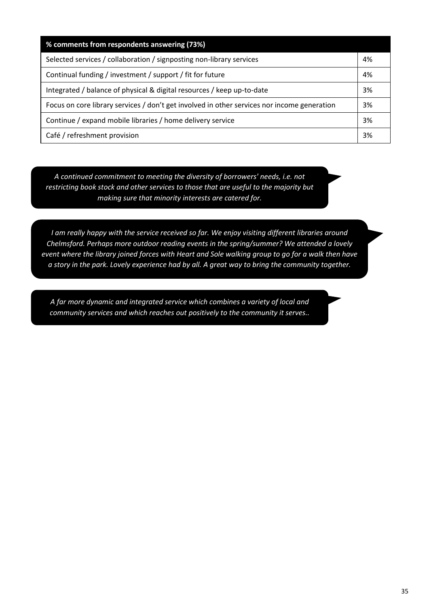| % comments from respondents answering (73%)                                                 |    |
|---------------------------------------------------------------------------------------------|----|
| Selected services / collaboration / signposting non-library services                        | 4% |
| Continual funding / investment / support / fit for future                                   | 4% |
| Integrated / balance of physical & digital resources / keep up-to-date                      | 3% |
| Focus on core library services / don't get involved in other services nor income generation | 3% |
| Continue / expand mobile libraries / home delivery service                                  | 3% |
| Café / refreshment provision                                                                | 3% |

*A continued commitment to meeting the diversity of borrowers' needs, i.e. not restricting book stock and other services to those that are useful to the majority but making sure that minority interests are catered for.*

*I am really happy with the service received so far. We enjoy visiting different libraries around Chelmsford. Perhaps more outdoor reading events in the spring/summer? We attended a lovely event where the library joined forces with Heart and Sole walking group to go for a walk then have a story in the park. Lovely experience had by all. A great way to bring the community together.*

*A far more dynamic and integrated service which combines a variety of local and community services and which reaches out positively to the community it serves..*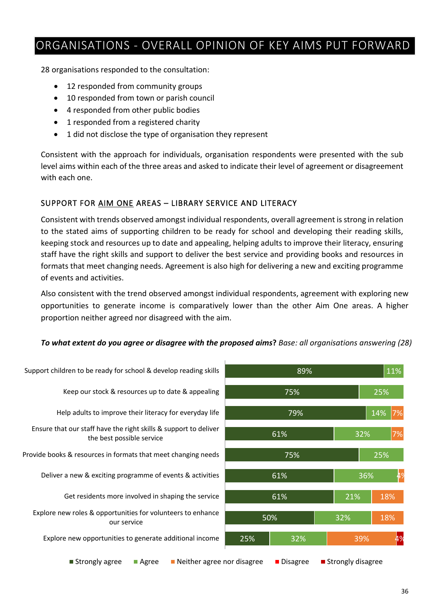## ORGANISATIONS - OVERALL OPINION OF KEY AIMS PUT FORWARD

28 organisations responded to the consultation:

- 12 responded from community groups
- 10 responded from town or parish council
- 4 responded from other public bodies
- 1 responded from a registered charity
- 1 did not disclose the type of organisation they represent

Consistent with the approach for individuals, organisation respondents were presented with the sub level aims within each of the three areas and asked to indicate their level of agreement or disagreement with each one.

#### SUPPORT FOR AIM ONE AREAS – LIBRARY SERVICE AND LITERACY

Consistent with trends observed amongst individual respondents, overall agreement is strong in relation to the stated aims of supporting children to be ready for school and developing their reading skills, keeping stock and resources up to date and appealing, helping adults to improve their literacy, ensuring staff have the right skills and support to deliver the best service and providing books and resources in formats that meet changing needs. Agreement is also high for delivering a new and exciting programme of events and activities.

Also consistent with the trend observed amongst individual respondents, agreement with exploring new opportunities to generate income is comparatively lower than the other Aim One areas. A higher proportion neither agreed nor disagreed with the aim.

#### *To what extent do you agree or disagree with the proposed aims***?** *Base: all organisations answering (28)*





**Strongly agree** Agree **Neither agree nor disagree Disagree** Strongly disagree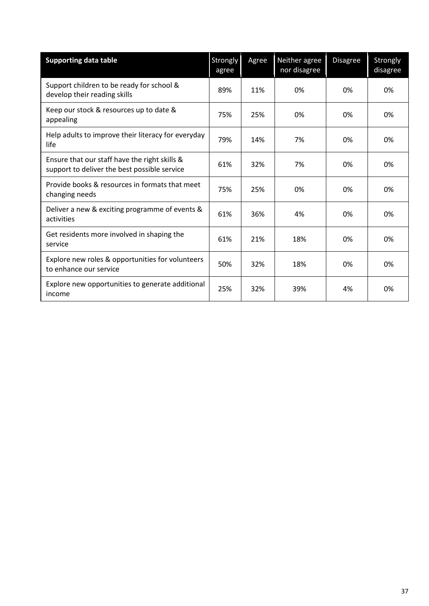| <b>Supporting data table</b>                                                                  | Strongly<br>agree | Agree | Neither agree<br>nor disagree | <b>Disagree</b> | Strongly<br>disagree |
|-----------------------------------------------------------------------------------------------|-------------------|-------|-------------------------------|-----------------|----------------------|
| Support children to be ready for school &<br>develop their reading skills                     | 89%               | 11%   | 0%                            | 0%              | 0%                   |
| Keep our stock & resources up to date &<br>appealing                                          | 75%               | 25%   | 0%                            | 0%              | 0%                   |
| Help adults to improve their literacy for everyday<br>life                                    | 79%               | 14%   | 7%                            | 0%              | 0%                   |
| Ensure that our staff have the right skills &<br>support to deliver the best possible service | 61%               | 32%   | 7%                            | 0%              | 0%                   |
| Provide books & resources in formats that meet<br>changing needs                              | 75%               | 25%   | 0%                            | 0%              | 0%                   |
| Deliver a new & exciting programme of events &<br>activities                                  | 61%               | 36%   | 4%                            | 0%              | 0%                   |
| Get residents more involved in shaping the<br>service                                         | 61%               | 21%   | 18%                           | 0%              | 0%                   |
| Explore new roles & opportunities for volunteers<br>to enhance our service                    | 50%               | 32%   | 18%                           | 0%              | 0%                   |
| Explore new opportunities to generate additional<br>income                                    | 25%               | 32%   | 39%                           | 4%              | 0%                   |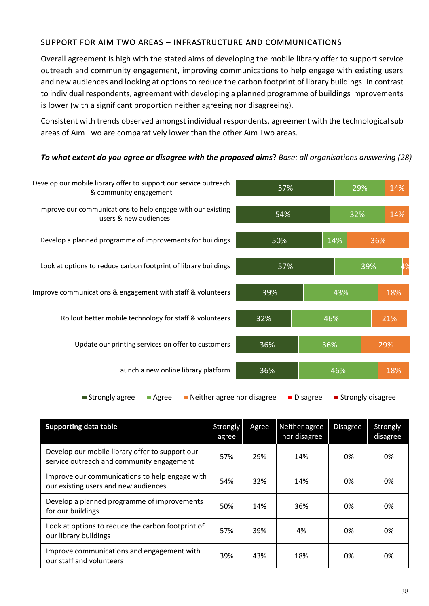#### SUPPORT FOR AIM TWO AREAS – INFRASTRUCTURE AND COMMUNICATIONS

Overall agreement is high with the stated aims of developing the mobile library offer to support service outreach and community engagement, improving communications to help engage with existing users and new audiences and looking at options to reduce the carbon footprint of library buildings. In contrast to individual respondents, agreement with developing a planned programme of buildings improvements is lower (with a significant proportion neither agreeing nor disagreeing).

Consistent with trends observed amongst individual respondents, agreement with the technological sub areas of Aim Two are comparatively lower than the other Aim Two areas.

#### *To what extent do you agree or disagree with the proposed aims***?** *Base: all organisations answering (28)*



| <b>Supporting data table</b>                                                                 | <b>Strongly</b><br>agree | Agree | Neither agree<br>nor disagree | <b>Disagree</b> | Strongly<br>disagree |
|----------------------------------------------------------------------------------------------|--------------------------|-------|-------------------------------|-----------------|----------------------|
| Develop our mobile library offer to support our<br>service outreach and community engagement | 57%                      | 29%   | 14%                           | 0%              | 0%                   |
| Improve our communications to help engage with<br>our existing users and new audiences       | 54%                      | 32%   | 14%                           | 0%              | 0%                   |
| Develop a planned programme of improvements<br>for our buildings                             | 50%                      | 14%   | 36%                           | 0%              | 0%                   |
| Look at options to reduce the carbon footprint of<br>our library buildings                   | 57%                      | 39%   | 4%                            | 0%              | 0%                   |
| Improve communications and engagement with<br>our staff and volunteers                       | 39%                      | 43%   | 18%                           | 0%              | 0%                   |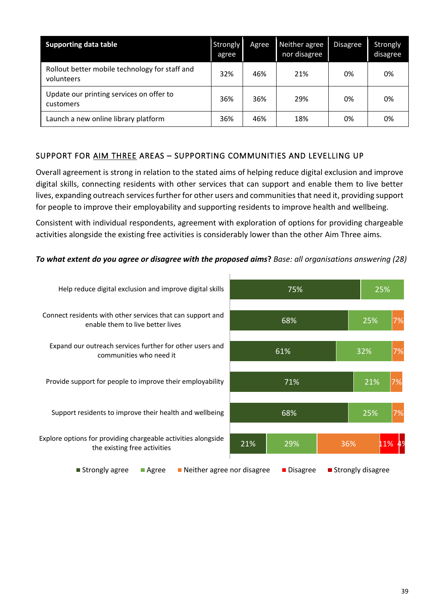| <b>Supporting data table</b>                                 | Strongly<br>agree | Agree | Neither agree<br>nor disagree | <b>Disagree</b> | Strongly<br>disagree |
|--------------------------------------------------------------|-------------------|-------|-------------------------------|-----------------|----------------------|
| Rollout better mobile technology for staff and<br>volunteers | 32%               | 46%   | 21%                           | 0%              | 0%                   |
| Update our printing services on offer to<br>customers        | 36%               | 36%   | 29%                           | 0%              | 0%                   |
| Launch a new online library platform                         | 36%               | 46%   | 18%                           | 0%              | 0%                   |

#### SUPPORT FOR AIM THREE AREAS - SUPPORTING COMMUNITIES AND LEVELLING UP

Overall agreement is strong in relation to the stated aims of helping reduce digital exclusion and improve digital skills, connecting residents with other services that can support and enable them to live better lives, expanding outreach services further for other users and communities that need it, providing support for people to improve their employability and supporting residents to improve health and wellbeing.

Consistent with individual respondents, agreement with exploration of options for providing chargeable activities alongside the existing free activities is considerably lower than the other Aim Three aims.



#### *To what extent do you agree or disagree with the proposed aims***?** *Base: all organisations answering (28)*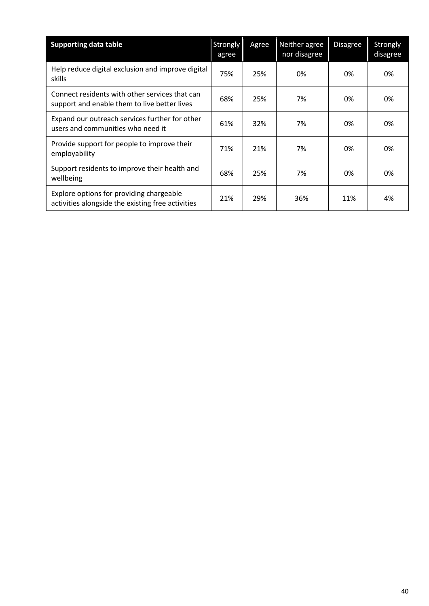| <b>Supporting data table</b>                                                                   | Strongly<br>agree | Agree | Neither agree<br>nor disagree | <b>Disagree</b> | Strongly<br>disagree |
|------------------------------------------------------------------------------------------------|-------------------|-------|-------------------------------|-----------------|----------------------|
| Help reduce digital exclusion and improve digital<br>skills                                    | 75%               | 25%   | 0%                            | 0%              | 0%                   |
| Connect residents with other services that can<br>support and enable them to live better lives | 68%               | 25%   | 7%                            | 0%              | 0%                   |
| Expand our outreach services further for other<br>users and communities who need it            | 61%               | 32%   | 7%                            | 0%              | 0%                   |
| Provide support for people to improve their<br>employability                                   | 71%               | 21%   | 7%                            | 0%              | 0%                   |
| Support residents to improve their health and<br>wellbeing                                     | 68%               | 25%   | 7%                            | 0%              | 0%                   |
| Explore options for providing chargeable<br>activities alongside the existing free activities  | 21%               | 29%   | 36%                           | 11%             | 4%                   |